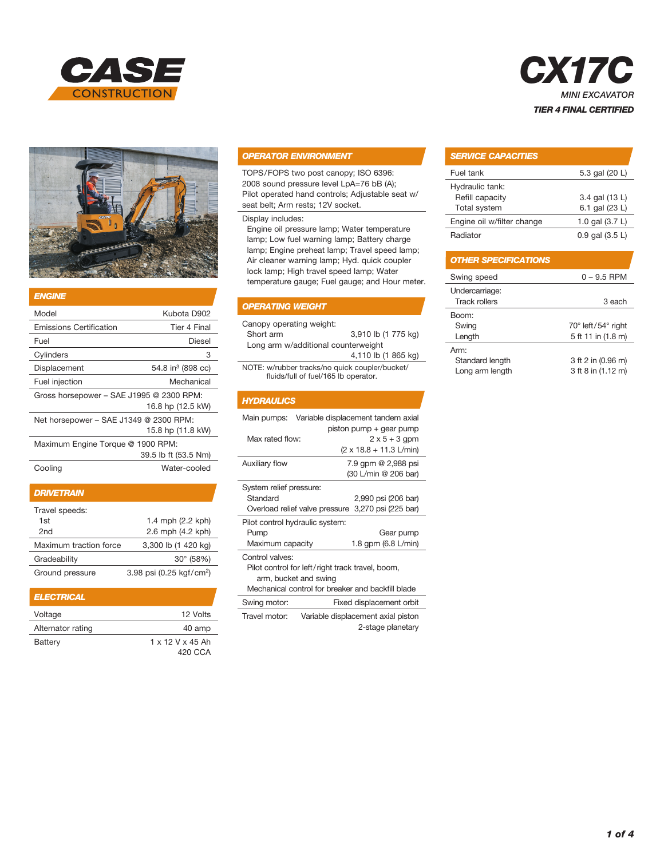



| <b>ENGINE</b>                            |                               |
|------------------------------------------|-------------------------------|
| Model                                    | Kubota D902                   |
| <b>Emissions Certification</b>           | Tier 4 Final                  |
| Fuel                                     | Diesel                        |
| Cylinders                                | З                             |
| Displacement                             | 54.8 in <sup>3</sup> (898 cc) |
| Fuel injection                           | Mechanical                    |
| Gross horsepower – SAE J1995 @ 2300 RPM: |                               |
|                                          | 16.8 hp (12.5 kW)             |
| Net horsepower – SAE J1349 @ 2300 RPM:   |                               |
|                                          | 15.8 hp (11.8 kW)             |
| Maximum Engine Torque @ 1900 RPM:        |                               |
|                                          | 39.5 lb ft (53.5 Nm)          |
| Cooling                                  | Water-cooled                  |

#### *DRIVETRAIN*

| Travel speeds:         |                                    |
|------------------------|------------------------------------|
| 1st                    | 1.4 mph (2.2 kph)                  |
| 2nd                    | 2.6 mph (4.2 kph)                  |
| Maximum traction force | 3,300 lb (1 420 kg)                |
| Gradeability           | $30^{\circ}$ (58%)                 |
| Ground pressure        | 3.98 psi $(0.25 \text{ kgf/cm}^2)$ |

| <b>ELECTRICAL</b> |                  |
|-------------------|------------------|
| Voltage           | 12 Volts         |
| Alternator rating | 40 amp           |
| Battery           | 1 x 12 V x 45 Ah |
|                   | 420 CCA          |

## *OPERATOR ENVIRONMENT*

TOPS/FOPS two post canopy; ISO 6396: 2008 sound pressure level LpA=76 bB (A); Pilot operated hand controls; Adjustable seat w/ seat belt; Arm rests; 12V socket.

Display includes:

Engine oil pressure lamp; Water temperature lamp; Low fuel warning lamp; Battery charge lamp; Engine preheat lamp; Travel speed lamp; Air cleaner warning lamp; Hyd. quick coupler lock lamp; High travel speed lamp; Water temperature gauge; Fuel gauge; and Hour meter.

#### *OPERATING WEIGHT*

| Canopy operating weight:                       |                     |
|------------------------------------------------|---------------------|
| Short arm                                      | 3,910 lb (1 775 kg) |
| Long arm w/additional counterweight            |                     |
|                                                | 4,110 lb (1 865 kg) |
| NOTE: w/rubber tracks/no quick coupler/bucket/ |                     |
| fluids/full of fuel/165 lb operator.           |                     |

# *HYDRAULICS*

| Main pumps:                     | Variable displacement tandem axial                |  |  |  |  |  |  |  |  |
|---------------------------------|---------------------------------------------------|--|--|--|--|--|--|--|--|
|                                 | piston pump + gear pump                           |  |  |  |  |  |  |  |  |
| Max rated flow:                 | $2 \times 5 + 3$ gpm                              |  |  |  |  |  |  |  |  |
|                                 | $(2 \times 18.8 + 11.3$ L/min)                    |  |  |  |  |  |  |  |  |
| Auxiliary flow                  | 7.9 qpm @ 2,988 psi                               |  |  |  |  |  |  |  |  |
|                                 | (30 L/min @ 206 bar)                              |  |  |  |  |  |  |  |  |
| System relief pressure:         |                                                   |  |  |  |  |  |  |  |  |
| Standard                        | 2,990 psi (206 bar)                               |  |  |  |  |  |  |  |  |
| Overload relief valve pressure  | 3,270 psi (225 bar)                               |  |  |  |  |  |  |  |  |
| Pilot control hydraulic system: |                                                   |  |  |  |  |  |  |  |  |
| Pump                            | Gear pump                                         |  |  |  |  |  |  |  |  |
| Maximum capacity                | 1.8 gpm (6.8 L/min)                               |  |  |  |  |  |  |  |  |
| Control valves:                 |                                                   |  |  |  |  |  |  |  |  |
|                                 | Pilot control for left/right track travel, boom,  |  |  |  |  |  |  |  |  |
| arm, bucket and swing           |                                                   |  |  |  |  |  |  |  |  |
|                                 | Mechanical control for breaker and backfill blade |  |  |  |  |  |  |  |  |
| Swing motor:                    | Fixed displacement orbit                          |  |  |  |  |  |  |  |  |
| Travel motor:                   | Variable displacement axial piston                |  |  |  |  |  |  |  |  |
|                                 | 2-stage planetary                                 |  |  |  |  |  |  |  |  |

# *SERVICE CAPACITIES* Fuel tank 5.3 gal (20 L) Hydraulic tank: Refill capacity 3.4 gal (13 L)<br>Total system 6.1 gal (23 L) 6.1 gal  $(23 L)$ Engine oil w/filter change 1.0 gal (3.7 L) Radiator 0.9 gal (3.5 L)

*CX17C*

*MINI EXCAVATOR TIER 4 FINAL CERTIFIED*

| <b>OTHER SPECIFICATIONS</b>                |                                                             |
|--------------------------------------------|-------------------------------------------------------------|
| Swing speed                                | $0 - 9.5$ RPM                                               |
| Undercarriage:<br><b>Track rollers</b>     | 3 each                                                      |
| Boom:<br>Swing<br>Length                   | $70^{\circ}$ left/54 $^{\circ}$ right<br>5 ft 11 in (1.8 m) |
| Arm:<br>Standard length<br>Long arm length | 3 ft 2 in (0.96 m)<br>3 ft 8 in (1.12 m)                    |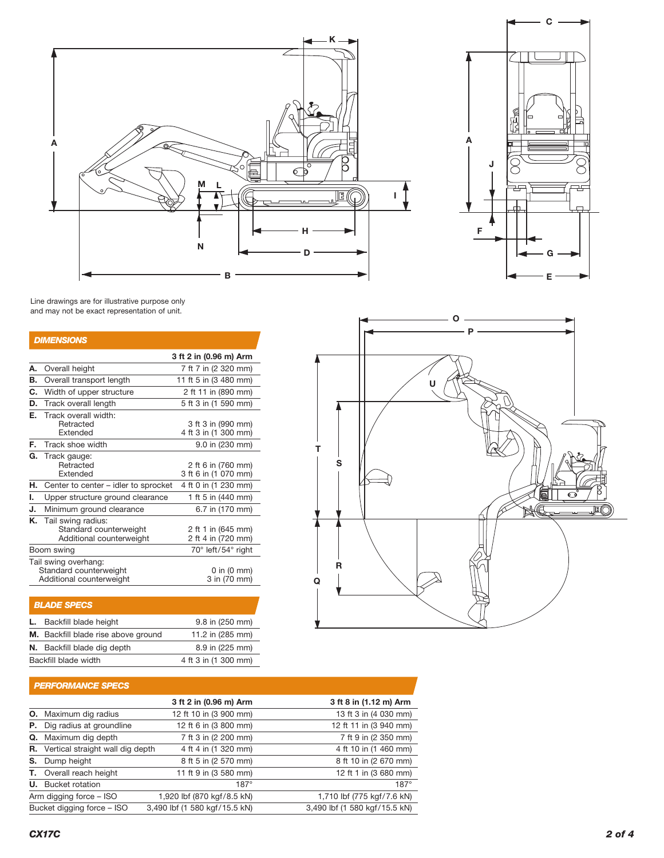



Line drawings are for illustrative purpose only and may not be exact representation of unit.

|    | <b>DIMENSIONS</b>                                                          |                                            |
|----|----------------------------------------------------------------------------|--------------------------------------------|
|    |                                                                            | 3 ft 2 in (0.96 m) Arm                     |
| А. | Overall height                                                             | 7 ft 7 in (2 320 mm)                       |
| В. | Overall transport length                                                   | 11 ft 5 in (3 480 mm)                      |
| C. | Width of upper structure                                                   | 2 ft 11 in (890 mm)                        |
| D. | Track overall length                                                       | 5 ft 3 in (1 590 mm)                       |
| Е. | Track overall width:<br>Retracted<br>Extended                              | 3 ft 3 in (990 mm)<br>4 ft 3 in (1 300 mm) |
| F. | Track shoe width                                                           | 9.0 in (230 mm)                            |
| G. | Track gauge:<br>Retracted<br>Extended                                      | 2 ft 6 in (760 mm)<br>3 ft 6 in (1 070 mm) |
| н. | Center to center - idler to sprocket                                       | 4 ft 0 in (1 230 mm)                       |
| ı. | Upper structure ground clearance                                           | 1 ft 5 in (440 mm)                         |
| J. | Minimum ground clearance                                                   | 6.7 in (170 mm)                            |
| Κ. | Tail swing radius:<br>Standard counterweight<br>Additional counterweight   | 2 ft 1 in (645 mm)<br>2 ft 4 in (720 mm)   |
|    | Boom swing                                                                 | 70° left/54° right                         |
|    | Tail swing overhang:<br>Standard counterweight<br>Additional counterweight | $0$ in $(0 \text{ mm})$<br>3 in (70 mm)    |
|    |                                                                            |                                            |

|    | <b>BLADE SPECS</b>                  |                      |
|----|-------------------------------------|----------------------|
| L. | Backfill blade height               | 9.8 in (250 mm)      |
|    | M. Backfill blade rise above ground | 11.2 in (285 mm)     |
|    | <b>N.</b> Backfill blade dig depth  | 8.9 in (225 mm)      |
|    | Backfill blade width                | 4 ft 3 in (1 300 mm) |



## *PERFORMANCE SPECS*

|    |                                            | 3 ft 2 in (0.96 m) Arm        | 3 ft 8 in (1.12 m) Arm        |
|----|--------------------------------------------|-------------------------------|-------------------------------|
|    | <b>O.</b> Maximum dig radius               | 12 ft 10 in (3 900 mm)        | 13 ft 3 in (4 030 mm)         |
| Р. | Dig radius at groundline                   | 12 ft 6 in (3 800 mm)         | 12 ft 11 in (3 940 mm)        |
|    | <b>Q.</b> Maximum dig depth                | 7 ft 3 in (2 200 mm)          | 7 ft 9 in (2 350 mm)          |
|    | <b>R.</b> Vertical straight wall dig depth | 4 ft 4 in (1 320 mm)          | 4 ft 10 in (1 460 mm)         |
| S. | Dump height                                | 8 ft 5 in (2 570 mm)          | 8 ft 10 in (2 670 mm)         |
|    | <b>T.</b> Overall reach height             | 11 ft 9 in (3 580 mm)         | 12 ft 1 in (3 680 mm)         |
|    | <b>U.</b> Bucket rotation                  | $187^\circ$                   | $187^\circ$                   |
|    | Arm digging force - ISO                    | 1,920 lbf (870 kgf/8.5 kN)    | 1,710 lbf (775 kgf/7.6 kN)    |
|    | Bucket digging force - ISO                 | 3,490 lbf (1 580 kgf/15.5 kN) | 3,490 lbf (1 580 kgf/15.5 kN) |
|    |                                            |                               |                               |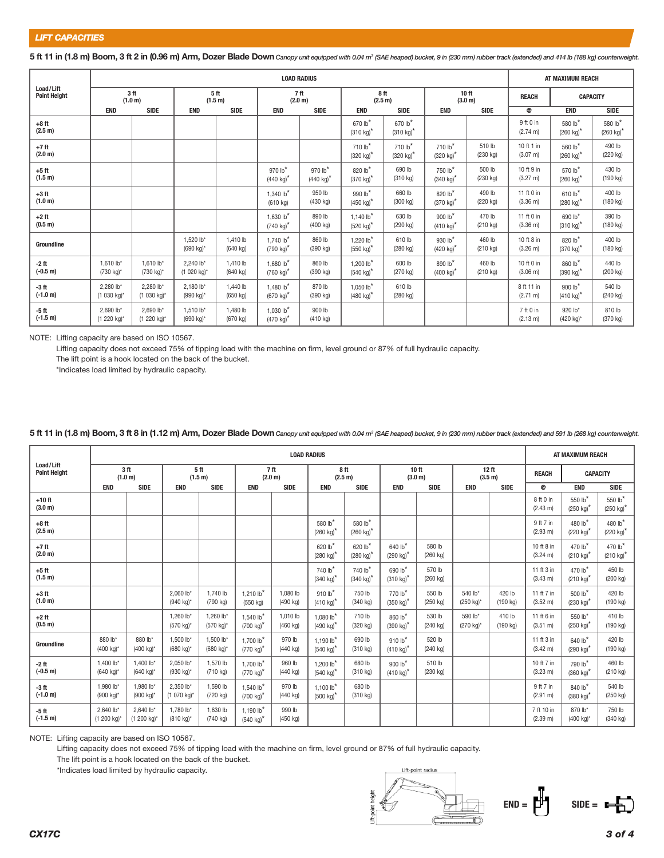|                                  | <b>LOAD RADIUS</b>         |                          |                           |                      |                                                 |                                 |                                                 |                                             |                                   |                             |                        | AT MAXIMUM REACH                            |                                 |  |  |
|----------------------------------|----------------------------|--------------------------|---------------------------|----------------------|-------------------------------------------------|---------------------------------|-------------------------------------------------|---------------------------------------------|-----------------------------------|-----------------------------|------------------------|---------------------------------------------|---------------------------------|--|--|
| Load/Lift<br><b>Point Height</b> | 3 <sub>ft</sub><br>(1.0 m) |                          |                           | 5ft<br>(1.5 m)       |                                                 | 7 ft<br>(2.0 m)                 |                                                 | 8ft<br>(2.5 m)                              |                                   | 10 <sub>ft</sub><br>(3.0 m) | <b>REACH</b>           |                                             | <b>CAPACITY</b>                 |  |  |
|                                  | <b>SIDE</b><br><b>END</b>  |                          | <b>SIDE</b><br><b>END</b> |                      | <b>SIDE</b><br><b>END</b>                       |                                 | <b>SIDE</b><br><b>END</b>                       |                                             | <b>SIDE</b><br><b>END</b>         |                             | $\omega$               | <b>END</b>                                  | <b>SIDE</b>                     |  |  |
| $+8$ ft<br>(2.5 m)               |                            |                          |                           |                      |                                                 |                                 | 670 lb*<br>$(310 \text{ kg})^*$                 | 670 lb*<br>$(310 \text{ kg})^*$             |                                   |                             | 9 ft 0 in<br>(2.74 m)  | 580 lb*<br>$(260 \text{ kg})^*$             | 580 lb*<br>$(260 \text{ kg})^*$ |  |  |
| $+7$ ft<br>(2.0 m)               |                            |                          |                           |                      |                                                 |                                 | 710 lb <sup>*</sup><br>$(320 kg)^*$             | 710 lb <sup>*</sup><br>$(320 \text{ kg})^*$ | 710 lb*<br>$(320 kg)^*$           | 510 lb<br>(230 kg)          | 10 ft 1 in<br>(3.07 m) | 560 lb*<br>$(260 \text{ kg})^*$             | 490 lb<br>(220 kg)              |  |  |
| $+5$ ft<br>(1.5 m)               |                            |                          |                           |                      | 970 lb*<br>$(440 \text{ kg})^*$                 | 970 lb*<br>$(440 \text{ kg})^*$ | 820 lb*<br>$(370 \text{ kg})^{*}$               | 690 lb<br>(310 kg)                          | 750 lb*<br>$(340 \text{ kg})^*$   | 500 lb<br>(230 kg)          | 10 ft 9 in<br>(3.27 m) | 570 lb*<br>$(260 \text{ kg})^*$             | 430 lb<br>(190 kg)              |  |  |
| $+3$ ft<br>(1.0 m)               |                            |                          |                           |                      | 1,340 lb*<br>$(610 \text{ kg})$                 | 950 lb<br>(430 kg)              | 990 lb*<br>$(450 \text{ kg})^*$                 | 660 lb<br>(300 kg)                          | 820 lb*<br>$(370 \text{ kg})^*$   | 490 lb<br>(220 kg)          | 11 ft 0 in<br>(3.36 m) | 610 lb <sup>*</sup><br>$(280 \text{ kg})^*$ | 400 lb<br>(180 kg)              |  |  |
| $+2$ ft<br>(0.5 m)               |                            |                          |                           |                      | 1,630 lb*<br>$(740 \text{ kg})^*$               | 890 lb<br>(400 kg)              | $1,140$ lb <sup>*</sup><br>$(520 \text{ kg})^*$ | 630 lb<br>(290 kg)                          | $900 lb*$<br>$(410 \text{ kg})^*$ | 470 lb<br>(210 kg)          | 11 ft 0 in<br>(3.36 m) | 690 lb*<br>$(310 \text{ kg})^*$             | 390 lb<br>(180 kg)              |  |  |
| <b>Groundline</b>                |                            |                          | 1.520 lb*<br>(690 kg)*    | 1.410 lb<br>(640 kg) | 1,740 lb*<br>$(790 \text{ kg})^*$               | 860 lb<br>(390 kg)              | 1,220 lb*<br>$(550 \text{ kg})^*$               | 610 lb<br>(280 kg)                          | 930 lb*<br>$(420 \text{ kg})^*$   | 460 lb<br>(210 kg)          | 10 ft 8 in<br>(3.26 m) | 820 lb*<br>$(370 \text{ kg})^{*}$           | 400 lb<br>(180 kg)              |  |  |
| $-2$ ft<br>$(-0.5 m)$            | 1.610 lb*<br>(730 kg)*     | 1.610 lb*<br>(730 kg)*   | 2.240 lb*<br>(1 020 kg)*  | 1.410 lb<br>(640 kg) | 1,680 lb*<br>$(760 \text{ kg})^*$               | 860 lb<br>(390 kg)              | 1,200 $lb^*$<br>$(540 \text{ kg})^*$            | 600 lb<br>(270 kg)                          | 890 lb*<br>$(400 \text{ kg})^*$   | 460 lb<br>(210 kg)          | 10 ft 0 in<br>(3.06 m) | 860 lb*<br>$(390 \text{ kg})^{*}$           | 440 lb<br>(200 kg)              |  |  |
| $-3$ ft<br>$(-1.0 m)$            | 2.280 lb*<br>(1 030 kg)*   | 2.280 lb*<br>(1 030 kg)* | 2.180 lb*<br>(990 kg)*    | 1.440 lb<br>(650 kg) | $1,480$ lb <sup>*</sup><br>$(670 \text{ kg})^*$ | 870 lb<br>$(390$ kg)            | $1,050$ lb <sup>*</sup><br>$(480 \text{ kg})^*$ | 610 lb<br>(280 kg)                          |                                   |                             | 8 ft 11 in<br>(2.71 m) | 900 lb*<br>$(410 \text{ kg})^{*}$           | 540 lb<br>(240 kg)              |  |  |
| $-5$ ft<br>$(-1.5 m)$            | 2.690 lb*<br>(1 220 kg)*   | 2.690 lb*<br>(1 220 kg)* | 1.510 lb*<br>(690 kg)*    | 1.480 lb<br>(670 kg) | 1,030 $lb^*$<br>$(470 \text{ kg})^*$            | 900 lb<br>(410 kg)              |                                                 |                                             |                                   |                             | 7 ft 0 in<br>(2.13 m)  | 920 lb*<br>(420 kg)*                        | 810 lb<br>(370 kg)              |  |  |

5 ft 11 in (1.8 m) Boom, 3 ft 2 in (0.96 m) Arm, Dozer Blade Down *Canopy unit equipped with 0.04 m3 (SAE heaped) bucket, 9 in (230 mm) rubber track (extended) and 414 lb (188 kg) counterweight.*

NOTE: Lifting capacity are based on ISO 10567.

Lifting capacity does not exceed 75% of tipping load with the machine on firm, level ground or 87% of full hydraulic capacity.

The lift point is a hook located on the back of the bucket.

\*Indicates load limited by hydraulic capacity.

|                                  | <b>LOAD RADIUS</b>                     |                                   |                                    |                                     |                                                 |                      |                                                 |                                             |                                             |                      |                      |                      |                                  | AT MAXIMUM REACH                            |                                 |  |
|----------------------------------|----------------------------------------|-----------------------------------|------------------------------------|-------------------------------------|-------------------------------------------------|----------------------|-------------------------------------------------|---------------------------------------------|---------------------------------------------|----------------------|----------------------|----------------------|----------------------------------|---------------------------------------------|---------------------------------|--|
| Load/Lift<br><b>Point Height</b> | 3 <sub>ft</sub><br>(1.0 <sub>m</sub> ) |                                   | 5 <sup>th</sup><br>(1.5 m)         |                                     | 7 ft<br>(2.0 m)                                 |                      | 8ft<br>(2.5 m)                                  |                                             | 10 <sub>ft</sub><br>(3.0 m)                 |                      | 12 ft<br>(3.5 m)     |                      | <b>REACH</b>                     | <b>CAPACITY</b>                             |                                 |  |
|                                  | <b>END</b>                             | <b>SIDE</b>                       | <b>END</b>                         | <b>SIDE</b>                         | <b>END</b>                                      | <b>SIDE</b>          | <b>END</b>                                      | <b>SIDE</b>                                 | <b>END</b>                                  | <b>SIDE</b>          | <b>END</b>           | <b>SIDE</b>          | @                                | <b>END</b>                                  | <b>SIDE</b>                     |  |
| $+10$ ft<br>(3.0 m)              |                                        |                                   |                                    |                                     |                                                 |                      |                                                 |                                             |                                             |                      |                      |                      | 8 ft 0 in<br>$(2.43 \text{ m})$  | 550 lb*<br>$(250 \text{ kg})^*$             | 550 lb*<br>$(250 \text{ kg})^*$ |  |
| $+8$ ft<br>(2.5 m)               |                                        |                                   |                                    |                                     |                                                 |                      | 580 lb*<br>$(260 \text{ kg})^*$                 | 580 lb*<br>$(260 \text{ kg})^*$             |                                             |                      |                      |                      | 9 ft 7 in<br>(2.93 m)            | 480 lb*<br>$(220 \text{ kg})^*$             | 480 lb*<br>$(220 \text{ kg})^*$ |  |
| $+7$ ft<br>(2.0 m)               |                                        |                                   |                                    |                                     |                                                 |                      | 620 $\mathsf{lb}^\star$<br>$(280 \text{ kg})^*$ | 620 lb <sup>*</sup><br>$(280 \text{ kg})^*$ | 640 lb*<br>$(290 \text{ kg})^*$             | 580 lb<br>$(260$ kg) |                      |                      | 10 ft 8 in<br>$(3.24 \text{ m})$ | 470 lb <sup>*</sup><br>$(210 \text{ kg})^*$ | 470 lb*<br>$(210 \text{ kg})^*$ |  |
| $+5$ ft<br>(1.5 m)               |                                        |                                   |                                    |                                     |                                                 |                      | 740 lb*<br>$(340 \text{ kg})^*$                 | 740 lb <sup>*</sup><br>$(340 \text{ kg})^*$ | 690 lb <sup>*</sup><br>$(310 \text{ kg})^*$ | 570 lb<br>$(260$ kg) |                      |                      | 11 ft 3 in<br>$(3.43 \text{ m})$ | 470 lb <sup>*</sup><br>$(210 \text{ kg})^*$ | 450 lb<br>(200 kg)              |  |
| $+3$ ft<br>(1.0 m)               |                                        |                                   | 2.060 lb*<br>(940 kg)*             | 1,740 lb<br>(790 kg)                | 1,210 $lb^*$<br>$(550$ kg)                      | 1.080 lb<br>(490 kg) | $910 lb*$<br>$(410 \text{ kg})^*$               | 750 lb<br>(340 kg)                          | 770 lb <sup>*</sup><br>$(350 \text{ kg})^*$ | 550 lb<br>$(250$ kg) | 540 lb*<br>(250 kg)* | 420 lb<br>(190 kg)   | 11 ft 7 in<br>$(3.52 \text{ m})$ | $500 lb*$<br>$(230 \text{ kg})^*$           | 420 lb<br>(190 kg)              |  |
| $+2$ ft<br>(0.5 m)               |                                        |                                   | 1.260 lb*<br>(570 kg)*             | 1.260 lb*<br>$(570 \text{ kg})^{*}$ | 1,540 lb*<br>$(700 \text{ kg})^*$               | 1.010 lb<br>(460 kg) | 1,080 $lb^*$<br>$(490 \text{ kg})^*$            | 710 lb<br>(320 kg)                          | 860 lb*<br>$(390 \text{ kg})^*$             | 530 lb<br>(240 kg)   | 590 lb*<br>(270 kg)* | 410 lb<br>$(190$ kg) | 11 ft 6 in<br>(3.51 m)           | 550 lb*<br>$(250 \text{ kg})^*$             | 410 lb<br>(190 kg)              |  |
| <b>Groundline</b>                | 880 lb*<br>(400 kg)*                   | 880 lb*<br>$(400 \text{ kg})^{*}$ | 1.500 lb'<br>(680 kg)*             | 1,500 lb*<br>$(680 \text{ kg})^{*}$ | 1,700 $lb^*$<br>$(770 \text{ kg})^*$            | 970 lb<br>(440 kg)   | 1,190 $lb^*$<br>$(540 \text{ kg})^*$            | 690 lb<br>$(310$ kg)                        | $910 lb*$<br>$(410 \text{ kg})^*$           | 520 lb<br>$(240$ kg) |                      |                      | 11 ft 3 in<br>$(3.42 \text{ m})$ | 640 lb <sup>*</sup><br>$(290 \text{ kg})^*$ | 420 lb<br>(190 kg)              |  |
| $-2$ ft<br>$(-0.5 m)$            | 1,400 lb*<br>(640 kg)*                 | 1,400 lb*<br>$(640 \text{ kg})^*$ | 2,050 lb <sup>*</sup><br>(930 kg)* | 1.570 lb<br>(710 kg)                | 1,700 lb*<br>$(770 \text{ kg})^3$               | 960 lb<br>(440 kg)   | 1,200 $lb^*$<br>$(540 \text{ kg})^*$            | 680 lb<br>$(310$ kg)                        | 900 lb*<br>$(410 \text{ kg})^3$             | 510 lb<br>$(230$ kg) |                      |                      | 10 ft 7 in<br>(3.23 m)           | 790 lb*<br>$(360 \text{ kg})^*$             | 460 lb<br>(210 kg)              |  |
| $-3$ ft<br>$(-1.0 m)$            | 1.980 lb*<br>(900 kg)*                 | 1,980 lb*<br>(900 kg)*            | 2.350 lb'<br>(1 070 kg)*           | 1,590 lb<br>(720 kg)                | $1,540$ lb <sup>*</sup><br>$(700 \text{ kg})^*$ | 970 lb<br>(440 kg)   | 1,100 $lb^*$<br>$(500 \text{ kg})^*$            | 680 lb<br>(310 kg)                          |                                             |                      |                      |                      | 9 ft 7 in<br>(2.91 m)            | 840 lb*<br>$(380 \text{ kg})^*$             | 540 lb<br>(250 kg)              |  |
| $-5$ ft<br>$(-1.5 m)$            | 2,640 lb*<br>(1 200 kg)*               | 2,640 lb*<br>(1 200 kg)*          | 1,780 lb*<br>$(810 \text{ kg})^*$  | 1,630 lb<br>(740 kg)                | 1.190 lb <sup>3</sup><br>$(540 \text{ kg})^*$   | 990 lb<br>(450 kg)   |                                                 |                                             |                                             |                      |                      |                      | 7 ft 10 in<br>(2.39 m)           | 870 lb*<br>$(400 \text{ kg})^{*}$           | 750 lb<br>(340 kg)              |  |

5 ft 11 in (1.8 m) Boom, 3 ft 8 in (1.12 m) Arm, Dozer Blade Down *Canopy unit equipped with 0.04 m3 (SAE heaped) bucket, 9 in (230 mm) rubber track (extended) and 591 lb (268 kg) counterweight.*

NOTE: Lifting capacity are based on ISO 10567.

Lifting capacity does not exceed 75% of tipping load with the machine on firm, level ground or 87% of full hydraulic capacity.

The lift point is a hook located on the back of the bucket.

\*Indicates load limited by hydraulic capacity.